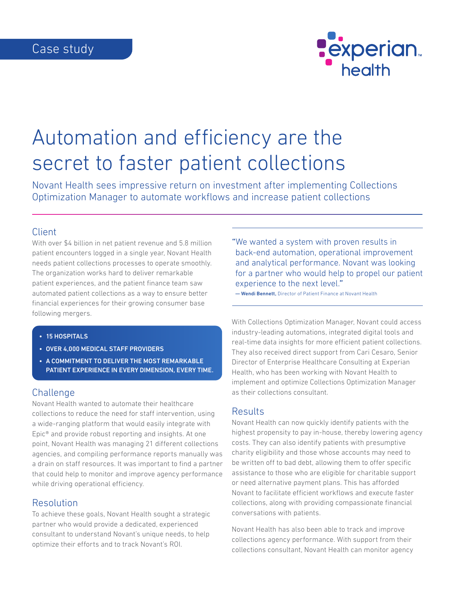

# Automation and efficiency are the secret to faster patient collections

Novant Health sees impressive return on investment after implementing Collections Optimization Manager to automate workflows and increase patient collections

### Client

With over \$4 billion in net patient revenue and 5.8 million patient encounters logged in a single year, Novant Health needs patient collections processes to operate smoothly. The organization works hard to deliver remarkable patient experiences, and the patient finance team saw automated patient collections as a way to ensure better financial experiences for their growing consumer base following mergers.

- 15 HOSPITALS
- OVER 4,000 MEDICAL STAFF PROVIDERS
- A COMMITMENT TO DELIVER THE MOST REMARKABLE PATIENT EXPERIENCE IN EVERY DIMENSION, EVERY TIME.

### Challenge

Novant Health wanted to automate their healthcare collections to reduce the need for staff intervention, using a wide-ranging platform that would easily integrate with Epic® and provide robust reporting and insights. At one point, Novant Health was managing 21 different collections agencies, and compiling performance reports manually was a drain on staff resources. It was important to find a partner that could help to monitor and improve agency performance while driving operational efficiency.

### Resolution

To achieve these goals, Novant Health sought a strategic partner who would provide a dedicated, experienced consultant to understand Novant's unique needs, to help optimize their efforts and to track Novant's ROI.

"We wanted a system with proven results in back-end automation, operational improvement and analytical performance. Novant was looking for a partner who would help to propel our patient experience to the next level."

— Wendi Bennett, Director of Patient Finance at Novant Health

With Collections Optimization Manager, Novant could access industry-leading automations, integrated digital tools and real-time data insights for more efficient patient collections. They also received direct support from Cari Cesaro, Senior Director of Enterprise Healthcare Consulting at Experian Health, who has been working with Novant Health to implement and optimize Collections Optimization Manager as their collections consultant.

## **Results**

Novant Health can now quickly identify patients with the highest propensity to pay in-house, thereby lowering agency costs. They can also identify patients with presumptive charity eligibility and those whose accounts may need to be written off to bad debt, allowing them to offer specific assistance to those who are eligible for charitable support or need alternative payment plans. This has afforded Novant to facilitate efficient workflows and execute faster collections, along with providing compassionate financial conversations with patients.

Novant Health has also been able to track and improve collections agency performance. With support from their collections consultant, Novant Health can monitor agency